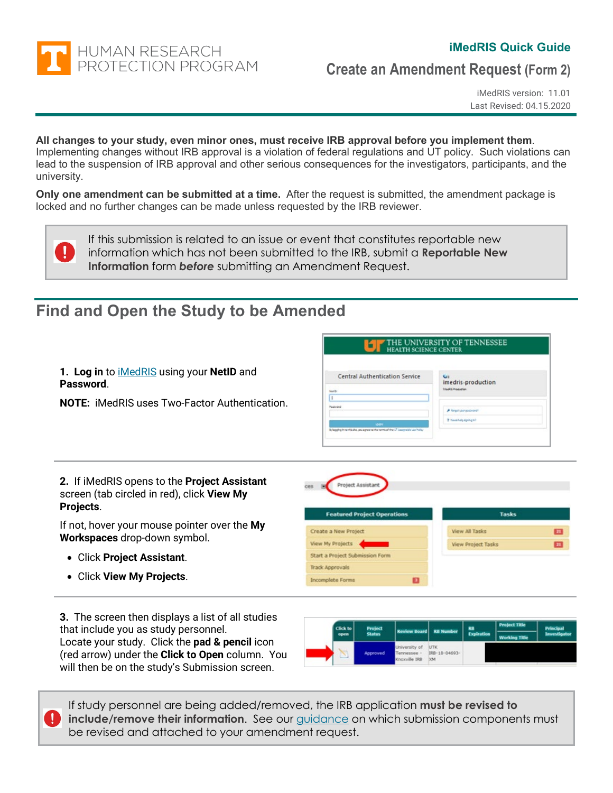

 $\bf \Omega$ 

#### **iMedRIS Quick Guide**

**Create an Amendment Request (Form 2)**

iMedRIS version: 11.01 Last Revised: 04.15.2020

### **All changes to your study, even minor ones, must receive IRB approval before you implement them**.

Implementing changes without IRB approval is a violation of federal regulations and UT policy. Such violations can lead to the suspension of IRB approval and other serious consequences for the investigators, participants, and the university.

**Only one amendment can be submitted at a time.** After the request is submitted, the amendment package is locked and no further changes can be made unless requested by the IRB reviewer.

If this submission is related to an issue or event that constitutes reportable new information which has not been submitted to the IRB, submit a **Reportable New Information** form *before* submitting an Amendment Request.

### **Find and Open the Study to be Amended**

|                                                                                                                       | <b>HEALTH SCIENCE CENTER</b>                                                                                                                                       | IE UNIVERSITY OF TENNESSEE                                                                                              |    |
|-----------------------------------------------------------------------------------------------------------------------|--------------------------------------------------------------------------------------------------------------------------------------------------------------------|-------------------------------------------------------------------------------------------------------------------------|----|
| 1. Log in to <b>iMedRIS</b> using your NetID and<br>Password.<br><b>NOTE:</b> iMedRIS uses Two-Factor Authentication. | <b>Central Authentication Service</b><br>Nanb<br>ı<br>Paalvard<br><b>SOFIE</b><br>Bylagging in harfrix alta you agree to the terminal the UT beautrable Los Policy | <b>Git</b><br>imedris-production<br><b>Intelligination</b><br><b>A</b> Renost cour equipment<br>P hasd help disning in? |    |
| 2. If iMedRIS opens to the Project Assistant<br>screen (tab circled in red), click View My<br>Projects.               | Project Assistant<br><b>Featured Project Operations</b>                                                                                                            | <b>Tasks</b>                                                                                                            |    |
| If not, hover your mouse pointer over the My                                                                          | Create a New Project                                                                                                                                               | <b>View All Tasks</b>                                                                                                   |    |
|                                                                                                                       |                                                                                                                                                                    |                                                                                                                         | E  |
|                                                                                                                       | View My Projects                                                                                                                                                   | <b>View Project Tasks</b>                                                                                               | 21 |
|                                                                                                                       | Start a Project Submission Form                                                                                                                                    |                                                                                                                         |    |
| Workspaces drop-down symbol.<br>• Click Project Assistant.<br>• Click View My Projects.                               | <b>Track Approvals</b>                                                                                                                                             |                                                                                                                         |    |

**3.** The screen then displays a list of all studies that include you as study personnel. Locate your study. Click the **pad & pencil** icon (red arrow) under the **Click to Open** column. You will then be on the study's Submission screen.

| Click to<br>open. | Project<br><b>Status</b> | <b>Review Board RB Number</b>                 |                                    | RB<br><b>Expiration</b> | <b>Project Title</b><br><b>Working Title</b> | Principal<br>Investigator |
|-------------------|--------------------------|-----------------------------------------------|------------------------------------|-------------------------|----------------------------------------------|---------------------------|
|                   | Approved                 | University of<br>Tennessee -<br>Knoxville IRB | <b>UTK</b><br>IRB-18-04693-<br>304 |                         |                                              |                           |

If study personnel are being added/removed, the IRB application **must be revised to include/remove their information.** See our [guidance](#page-9-0) on which submission components must be revised and attached to your amendment request.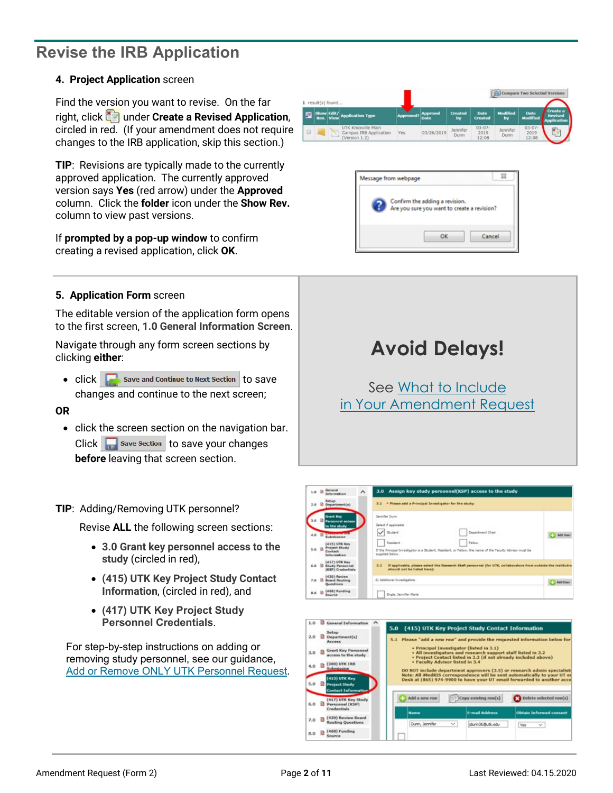## <span id="page-1-0"></span>**Revise the IRB Application**

#### **4. Project Application** screen

Find the version you want to revise. On the far right, click under **Create a Revised Application**, circled in red. (If your amendment does not require changes to the IRB application, skip this section.)

**TIP**: Revisions are typically made to the currently approved application. The currently approved version says **Yes** (red arrow) under the **Approved** column. Click the **folder** icon under the **Show Rev.** column to view past versions.

If **prompted by a pop-up window** to confirm creating a revised application, click **OK**.

**5. Application Form** screen

The editable version of the application form opens to the first screen, **1.0 General Information Screen**.

Navigate through any form screen sections by clicking **either**:

 $\bullet$  click  $\Box$  Save and Continue to Next Section to Save changes and continue to the next screen;

#### **OR**

• click the screen section on the navigation bar.  $Click \nightharpoonup$  save section to save your changes **before** leaving that screen section.

#### **TIP**: Adding/Removing UTK personnel?

Revise **ALL** the following screen sections:

- **3.0 Grant key personnel access to the study** (circled in red),
- **(415) UTK Key Project Study Contact Information**, (circled in red), and
- **(417) UTK Key Project Study Personnel Credentials**.

For step-by-step instructions on adding or removing study personnel, see our guidance, [Add or Remove ONLY UTK Personnel Request.](https://irb.utk.edu/imedris-guides/)

|   | 1 result(s) found |                         |                                                               |           |                                |                      |                               |                         |                                | <b>Compare Two Selected Versions</b>             |
|---|-------------------|-------------------------|---------------------------------------------------------------|-----------|--------------------------------|----------------------|-------------------------------|-------------------------|--------------------------------|--------------------------------------------------|
| 厦 |                   | Show Edit/<br>Rev. View | <b>Application Type</b>                                       | Approved? | <b>Approval</b><br><b>Date</b> | <b>Created</b><br>By | <b>Date</b><br><b>Created</b> | <b>Modified</b><br>by   | <b>Date</b><br><b>Modified</b> | Create a<br><b>Revised</b><br><b>Application</b> |
| Ð |                   |                         | UTK Knoxville Main<br>Campus IRB Application<br>(Version 1.2) | Yes       | 03/26/2019                     | Jennifer<br>Dunn     | $03 - 07 -$<br>2019<br>12:08  | <b>Jennifer</b><br>Dunn | $03 - 07 -$<br>2019<br>12:08   | ×                                                |







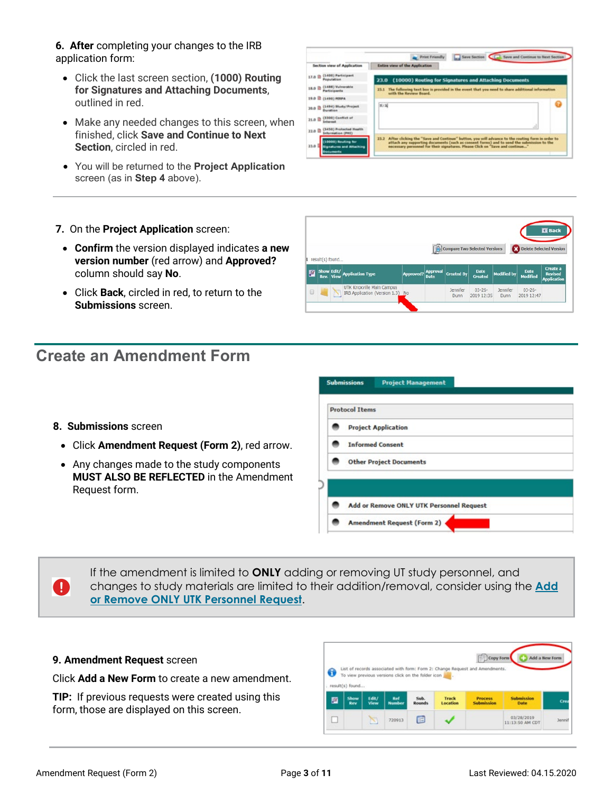**6. After** completing your changes to the IRB application form:

- Click the last screen section, **(1000) Routing for Signatures and Attaching Documents**, outlined in red.
- Make any needed changes to this screen, when finished, click **Save and Continue to Next Section**, circled in red.
- You will be returned to the **Project Application** screen (as in **Step 4** above).

| Section view of Application                                        | Entire view of the Application                                                                                                                                                                                                                                                     |
|--------------------------------------------------------------------|------------------------------------------------------------------------------------------------------------------------------------------------------------------------------------------------------------------------------------------------------------------------------------|
| (1400) Participant<br>17.0 <sub>0</sub><br>Population              | 23.0 (10000) Routing for Signatures and Attaching Documents                                                                                                                                                                                                                        |
| [1488] Vulnerable<br>18.0 lb<br><b>Participants</b>                | 23.1 The following text box is provided in the event that you need to share additional information<br>with the Review Board.                                                                                                                                                       |
| 19.0 B (1490) FERRA                                                |                                                                                                                                                                                                                                                                                    |
| (1494) Study/Project<br>20.0 L<br>Duration                         | 87.8                                                                                                                                                                                                                                                                               |
| (3300) Conflict of<br>$21.0$ $B$<br>Informat                       |                                                                                                                                                                                                                                                                                    |
| (3450) Probected Health<br>22.0 <sup>12</sup><br>Information (PHT) | đ                                                                                                                                                                                                                                                                                  |
| (100001 Routing for<br>33.0<br><b>Signatures and Attaching</b>     | 23.2 After clicking the "Save and Continue" button, you will advance to the routing form in order to<br>attack any supporting documents (such as consent forms) and to send the submission to the<br>necessary personnel for their signatures. Please Click on "Save and continue" |

- **7.** On the **Project Application** screen:
	- **Confirm** the version displayed indicates **a new version number** (red arrow) and **Approved?** column should say **No**.
	- Click **Back**, circled in red, to return to the **Submissions** screen.

### **Create an Amendment Form**

- **8. Submissions** screen
- Click **Amendment Request (Form 2)**, red arrow.
- Any changes made to the study components **MUST ALSO BE REFLECTED** in the Amendment Request form.

|        | result(s) found |                                                            |                  |                                |                         | Compare Two Selected Versions |                    | Delete Selected Version        |                                                  |
|--------|-----------------|------------------------------------------------------------|------------------|--------------------------------|-------------------------|-------------------------------|--------------------|--------------------------------|--------------------------------------------------|
| 圓      |                 | Show Edit/<br>Rev. View Application Type                   | <b>Approved?</b> | <b>Approval</b><br><b>Date</b> | <b>Created By</b>       | <b>Date</b><br>Created        | <b>Modified by</b> | <b>Date</b><br><b>Modified</b> | Create a<br><b>Revised</b><br><b>Application</b> |
| $\Box$ |                 | UTK Knoxville Main Campus<br>IRB Application (Version 1.3) | No               |                                | Jennifer<br><b>Dunn</b> | $03 - 26 -$<br>2019 12:35     | Jennifer<br>Dunn   | $03 - 26 -$<br>2019 12:47      |                                                  |

| <b>Protocol Items</b>                    |  |
|------------------------------------------|--|
| <b>Project Application</b>               |  |
| <b>Informed Consent</b>                  |  |
| <b>Other Project Documents</b>           |  |
|                                          |  |
| Add or Remove ONLY UTK Personnel Request |  |

 $\mathbf 0$ 

If the amendment is limited to **ONLY** adding or removing UT study personnel, and changes to study materials are limited to their addition/removal, consider using the **[Add](https://irb.utk.edu/imedris-guides/)  [or Remove ONLY UTK Personnel Request](https://irb.utk.edu/imedris-guides/)**.

#### **9. Amendment Request** screen

Click **Add a New Form** to create a new amendment.

**TIP:** If previous requests were created using this form, those are displayed on this screen.

|   | : result(s) found |               |                      |                       |                   |                                     |                                  |     |
|---|-------------------|---------------|----------------------|-----------------------|-------------------|-------------------------------------|----------------------------------|-----|
|   | Show<br>Rev       | Edit/<br>View | Ref<br><b>Number</b> | Sub.<br><b>Rounds</b> | Track<br>Location | <b>Process</b><br><b>Submission</b> | <b>Submission</b><br><b>Date</b> | Cre |
| 層 |                   |               |                      |                       |                   |                                     |                                  |     |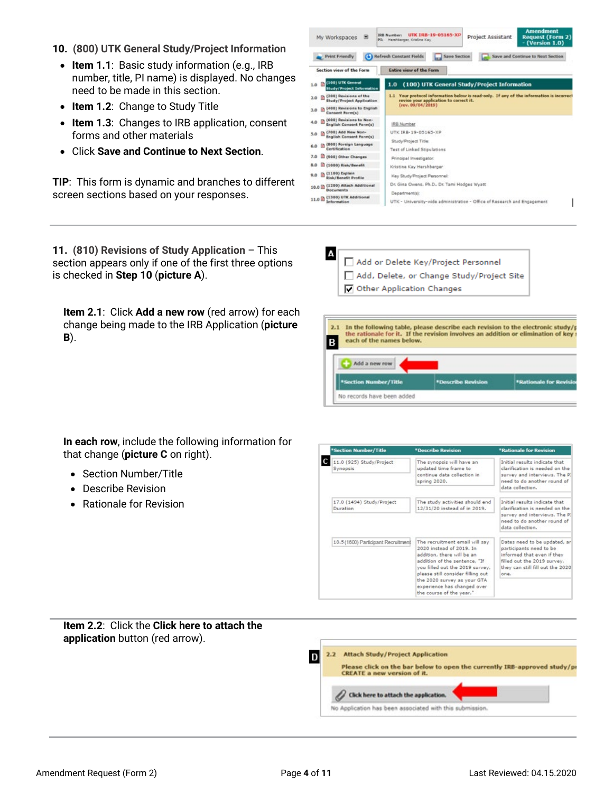- **10. (800) UTK General Study/Project Information**
	- **Item 1.1**: Basic study information (e.g., IRB number, title, PI name) is displayed. No changes need to be made in this section.
	- **Item 1.2**: Change to Study Title
	- **Item 1.3**: Changes to IRB application, consent forms and other materials
	- Click **Save and Continue to Next Section**.

**TIP**: This form is dynamic and branches to different screen sections based on your responses.

| My Workspaces<br>ы                                           | <b>Amendment</b><br>UTK TRB-19-05165-XP<br><b>IRB Number:</b><br><b>Project Assistant</b><br><b>Request (Form 2)</b><br>PE: Hamhberoer, Kristine Kay<br>- (Version 1.0) |
|--------------------------------------------------------------|-------------------------------------------------------------------------------------------------------------------------------------------------------------------------|
| <b>Print Friendly</b>                                        | <b>Refresh Constant Fields</b><br><b>Save Section</b><br>Save and Continue to Next Section                                                                              |
| Section view of the Form                                     | <b>Entire view of the Form</b>                                                                                                                                          |
| (100) UTK General<br>1.0<br><b>Study/Project Information</b> | (100) UTK General Study/Project Information<br>1.0                                                                                                                      |
| (200) Revisions of the<br>2.0<br>Study/Project Application   | 1.1 Your protocol information below is read-only. If any of the information is incorrect<br>revise your application to correct it.                                      |
| (400) Revisions to English<br>3.0<br>Consent Form(s)         | (rev. 09/04/2019)                                                                                                                                                       |
| (600) Revisions to Non-<br>4.0<br>English Consent Form(s)    | <b>IRS Number</b>                                                                                                                                                       |
| (700) Add New Non-<br>5.0<br>English Consent Form(s)         | UTK IRB-19-05165-XP                                                                                                                                                     |
| (800) Foreign Language<br>6.0<br>Certification               | Study/Project Title:<br>Test of Linked Stipulations                                                                                                                     |
| 7.0<br>(900) Other Changes                                   | Principal Investigator:                                                                                                                                                 |
| (1000) Risk/Benefit<br>8.0                                   | Kristine Kay Hershberoer                                                                                                                                                |
| (1100) Explain<br>0.0<br><b>Risk/Benefit Profile</b>         | Key Study/Project Personnel:                                                                                                                                            |
| (1200) Attach Additional<br>10.0 m<br>Decuments              | Dr. Gina Owens, Ph.D., Dr. Tami Hodges Wyatt                                                                                                                            |
| (1300) UTK Additional<br>11.0<br>Information                 | Departmentist:<br>UTK - University-wide administration - Office of Research and Engagement                                                                              |

**11. (810) Revisions of Study Application** – This section appears only if one of the first three options is checked in **Step 10** (**picture A**).

**Item 2.1**: Click **Add a new row** (red arrow) for each change being made to the IRB Application (**picture B**).





**In each row**, include the following information for that change (**picture C** on right).

- Section Number/Title
- Describe Revision
- Rationale for Revision



**Item 2.2**: Click the **Click here to attach the application** button (red arrow).**Attach Study/Project Application** D  $2.2$ Please click on the bar below to open the currently IRB-approved study/pr **CREATE a new version of it.** Cick here to attach the application. No Application has been associated with this submission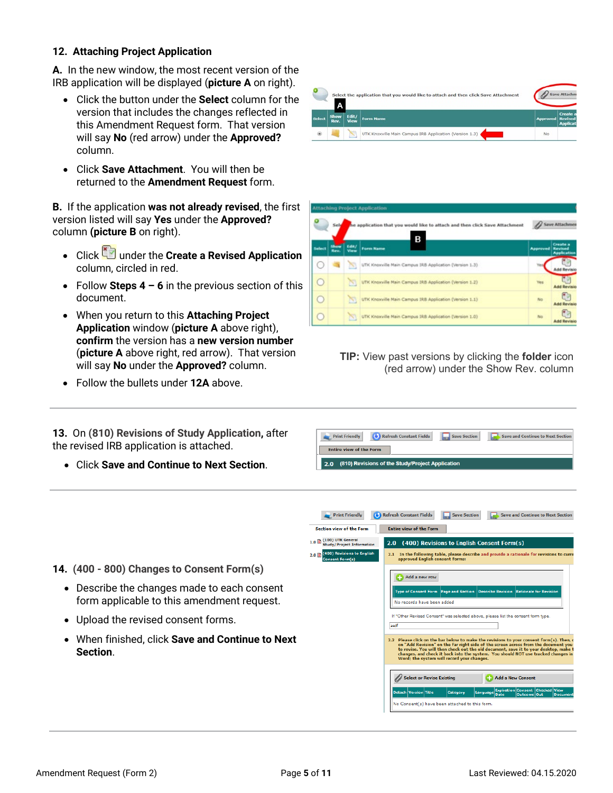#### **12. Attaching Project Application**

**A.** In the new window, the most recent version of the IRB application will be displayed (**picture A** on right).

- Click the button under the **Select** column for the version that includes the changes reflected in this Amendment Request form. That version will say **No** (red arrow) under the **Approved?** column.
- Click **Save Attachment**. You will then be returned to the **Amendment Request** form.

**B.** If the application **was not already revised**, the first version listed will say **Yes** under the **Approved?** column **(picture B** on right).

- Click under the **Create a Revised Application** column, circled in red.
- Follow **Steps 4 – 6** in the previous section of this document.
- When you return to this **Attaching Project Application** window (**picture A** above right), **confirm** the version has a **new version number** (**picture A** above right, red arrow). That version will say **No** under the **Approved?** column.
- Follow the bullets under **12A** above.

**13.** On **(810) Revisions of Study Application,** after the revised IRB application is attached.

• Click **Save and Continue to Next Section**.



|            |              |               | <b>Attaching Project Application</b>                                             |                 |                                           |
|------------|--------------|---------------|----------------------------------------------------------------------------------|-----------------|-------------------------------------------|
|            | Sele         |               | he application that you would like to attach and then click Save Attachment<br>В |                 | <b>Save Attachmen</b>                     |
| Select     | Show<br>Rev. | Edit/<br>View | <b>Form Name</b>                                                                 | <b>Approved</b> | Create a<br>Revised<br><b>Application</b> |
| $\cup$     |              | w             | UTK Knoxville Main Campus IRB Application (Version 1.3)                          |                 | <b>Add Revisio</b>                        |
| $\cup$     |              | 圏             | UTK Knaxville Main Campus IRB Application (Version 1.2)                          | <b>Yes</b>      | <b>Add Revisio</b>                        |
| $\bigcirc$ |              | N             | UTK Knoxville Main Campus IRB Application (Version 1.1)                          | No.             | Ε۶<br><b>Add Revisio</b>                  |
| $\cup$     |              | <b>Nº</b>     | UTK Knoxville Main Campus IRB Application (Version 1.0)                          | No              | cм<br><b>Add Revisio</b>                  |

**TIP:** View past versions by clicking the **folder** icon (red arrow) under the Show Rev. column





- **14. (400 - 800) Changes to Consent Form(s)**
	- Describe the changes made to each consent form applicable to this amendment request.
	- Upload the revised consent forms.
	- When finished, click **Save and Continue to Next Section**.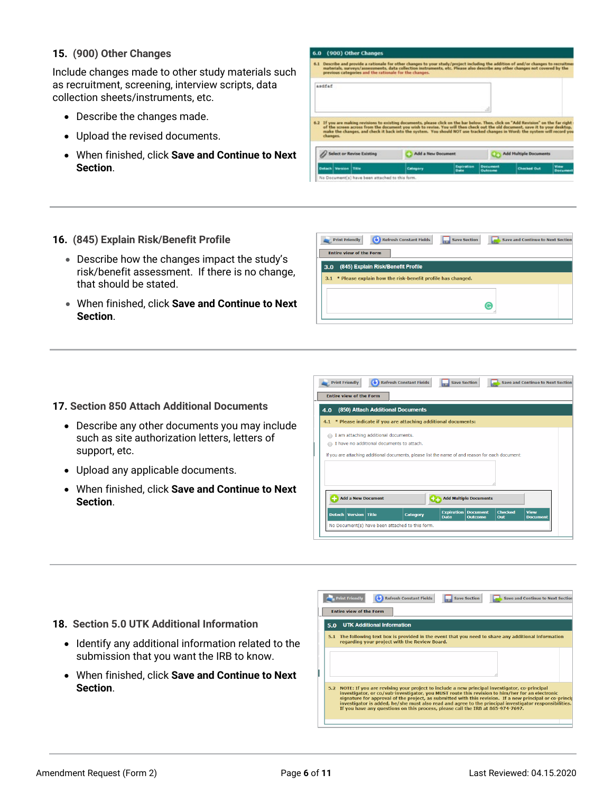#### **15. (900) Other Changes**

Include changes made to other study materials such as recruitment, screening, interview scripts, data collection sheets/instruments, etc.

- Describe the changes made.
- Upload the revised documents.
- When finished, click **Save and Continue to Next Section**.

| 6.0. |                          | (900) Other Changes                                    |                                                                                                                                                                                                                                                                                                                                                                                                        |                           |                             |                               |                   |
|------|--------------------------|--------------------------------------------------------|--------------------------------------------------------------------------------------------------------------------------------------------------------------------------------------------------------------------------------------------------------------------------------------------------------------------------------------------------------------------------------------------------------|---------------------------|-----------------------------|-------------------------------|-------------------|
|      |                          | previous categories and the rationale for the changes. | 6.1 Describe and provide a rationale for other changes to your study/project including the addition of and/or changes to recruitmen<br>materials, surveys/assessments, data collection instruments, etc. Please also describe any other changes not covered by the                                                                                                                                     |                           |                             |                               |                   |
|      | andfaf<br>changes.       |                                                        | 6.2 If you are making revisions to existing documents, please click on the bar below. Then, click on "Add Revision" on the far right :<br>of the screen across from the document you wish to revise. You will then check out the old document, save it to your desktop.<br>make the changes, and check it back into the system. You should NOT use tracked changes in Word: the system will record you |                           | .d                          |                               |                   |
|      |                          | ect or Revise Existing                                 | Add a New Document                                                                                                                                                                                                                                                                                                                                                                                     |                           |                             | <b>Add Hultiple Documents</b> |                   |
|      | <b>Detach</b><br>Version | Tible                                                  | Category                                                                                                                                                                                                                                                                                                                                                                                               | <b>Expiration</b><br>Date | <b>Document</b><br>Outstand | <b>Checked Out</b>            | View<br>Distument |
|      |                          | No Document(s) have been attached to this form.        |                                                                                                                                                                                                                                                                                                                                                                                                        |                           |                             |                               |                   |

- **16. (845) Explain Risk/Benefit Profile**
	- Describe how the changes impact the study's risk/benefit assessment. If there is no change, that should be stated.
	- When finished, click **Save and Continue to Next Section**.

| <b>Refresh Constant Fields</b><br><b>Save Section</b><br><b>Print Friendly</b><br>Save and Continue to Next Section<br><b>Entire view of the Form</b> |
|-------------------------------------------------------------------------------------------------------------------------------------------------------|
| (845) Explain Risk/Benefit Profile<br>3.0                                                                                                             |
| 3.1 * Please explain how the risk-benefit profile has changed.                                                                                        |
| G                                                                                                                                                     |
|                                                                                                                                                       |

#### **17. Section 850 Attach Additional Documents**

- Describe any other documents you may include such as site authorization letters, letters of support, etc.
- Upload any applicable documents.
- When finished, click **Save and Continue to Next Section**.

| <b>Print Friendly</b>                                                                            |                                                              | <b>Refresh Constant Fields</b> | <b>Save Section</b>       |                               |                | <b>Save and Continue to Next Section</b> |
|--------------------------------------------------------------------------------------------------|--------------------------------------------------------------|--------------------------------|---------------------------|-------------------------------|----------------|------------------------------------------|
| <b>Entire view of the Form</b>                                                                   |                                                              |                                |                           |                               |                |                                          |
| 4.0                                                                                              | (850) Attach Additional Documents                            |                                |                           |                               |                |                                          |
| 4.1                                                                                              | * Please indicate if you are attaching additional documents: |                                |                           |                               |                |                                          |
|                                                                                                  | I am attaching additional documents.                         |                                |                           |                               |                |                                          |
|                                                                                                  | I have no additional documents to attach.                    |                                |                           |                               |                |                                          |
| If you are attaching additional documents, please list the name of and reason for each document: |                                                              |                                |                           |                               |                |                                          |
|                                                                                                  |                                                              |                                |                           |                               |                |                                          |
|                                                                                                  |                                                              |                                |                           |                               |                |                                          |
|                                                                                                  |                                                              |                                |                           |                               |                |                                          |
|                                                                                                  |                                                              |                                |                           |                               |                |                                          |
|                                                                                                  |                                                              |                                |                           |                               |                |                                          |
|                                                                                                  |                                                              |                                |                           |                               |                |                                          |
| <b>Add a New Document</b>                                                                        |                                                              |                                |                           | <b>Add Multiple Documents</b> |                |                                          |
| Detach   Version   Title                                                                         |                                                              | <b>Category</b>                | <b>Expiration</b><br>Date | <b>Document</b>               | <b>Checked</b> | <b>View</b><br><b>Document</b>           |
| No Document(s) have been attached to this form.                                                  |                                                              |                                |                           | <b>Outcome</b>                | Out            |                                          |

#### **18. Section 5.0 UTK Additional Information**

- Identify any additional information related to the submission that you want the IRB to know.
- When finished, click **Save and Continue to Next Section**.

| <b>Print Friendly</b><br><b>Refresh Constant Fields</b><br><b>Save Section</b><br><b>Entire view of the Form</b>                                                                                                                                                                       |                                                                                                                                                                                                                                                                                                                                                              |
|----------------------------------------------------------------------------------------------------------------------------------------------------------------------------------------------------------------------------------------------------------------------------------------|--------------------------------------------------------------------------------------------------------------------------------------------------------------------------------------------------------------------------------------------------------------------------------------------------------------------------------------------------------------|
| <b>UTK Additional Information</b><br>5.0                                                                                                                                                                                                                                               |                                                                                                                                                                                                                                                                                                                                                              |
| 5.1<br>regarding your project with the Review Board.                                                                                                                                                                                                                                   |                                                                                                                                                                                                                                                                                                                                                              |
|                                                                                                                                                                                                                                                                                        |                                                                                                                                                                                                                                                                                                                                                              |
| 5.2 NOTE: If you are revising your project to include a new principal investigator, co-principal<br>investigator, or co/sub-investigator, you MUST route this revision to him/her for an electronic<br>If you have any questions on this process, please call the IRB at 865-974-7697. |                                                                                                                                                                                                                                                                                                                                                              |
|                                                                                                                                                                                                                                                                                        | Save and Continue to Next Section<br>The following text box is provided in the event that you need to share any additional information<br>signature for approval of the project, as submitted with this revision. If a new principal or co-princip<br>investigator is added, he/she must also read and agree to the principal investigator responsibilities. |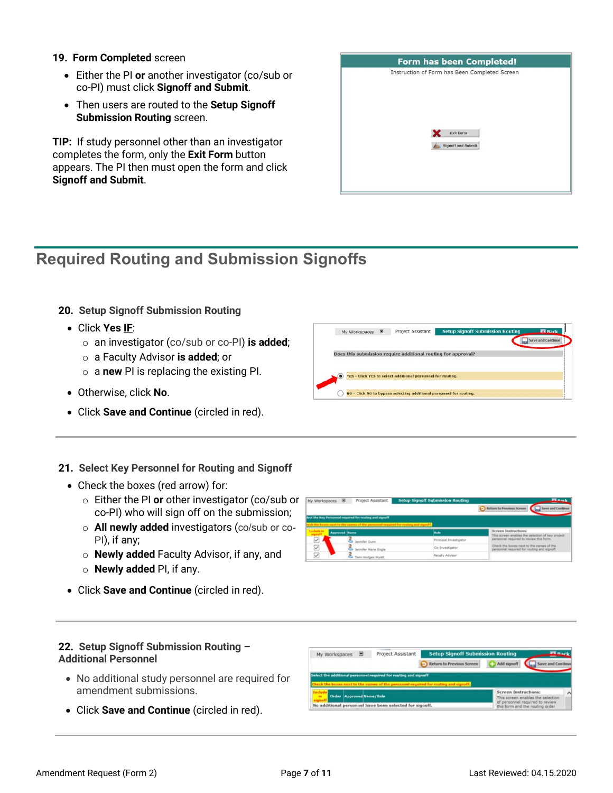#### **19. Form Completed** screen

- Either the PI **or** another investigator (co/sub or co-PI) must click **Signoff and Submit**.
- Then users are routed to the **Setup Signoff Submission Routing** screen.

**TIP:** If study personnel other than an investigator completes the form, only the **Exit Form** button appears. The PI then must open the form and click **Signoff and Submit**.



### **Required Routing and Submission Signoffs**

#### **20. Setup Signoff Submission Routing**

- Click **Yes IF**:
	- o an investigator (co/sub or co-PI) **is added**;
	- o a Faculty Advisor **is added**; or
	- o a **new** PI is replacing the existing PI.
- Otherwise, click **No**.
- Click **Save and Continue** (circled in red).

#### **21. Select Key Personnel for Routing and Signoff**

- Check the boxes (red arrow) for:
	- o Either the PI **or** other investigator (co/sub or co-PI) who will sign off on the submission;
	- o **All newly added** investigators (co/sub or co-PI), if any;
	- o **Newly added** Faculty Advisor, if any, and
	- o **Newly added** PI, if any.
- Click **Save and Continue** (circled in red).



My Workspaces E Project Assistant Setup Signoff

Does this submission require additional routing for approval?

TES - Click YES to select additional personnel for routing. MO - Click NO to bypass selecting additional personnel for routing

#### **22. Setup Signoff Submission Routing – Additional Personnel**

- No additional study personnel are required for amendment submissions.
- Click **Save and Continue** (circled in red).

| My Workspaces                                                    | Project Assistant | <b>Setup Signoff Submission Routing</b>                                              |                             | <b>TLaset</b>                                                         |  |
|------------------------------------------------------------------|-------------------|--------------------------------------------------------------------------------------|-----------------------------|-----------------------------------------------------------------------|--|
|                                                                  |                   | <b>Return to Previous Screen</b>                                                     | Add signoff                 | Save and Continue                                                     |  |
| Select the additional personnel required for routing and signoff |                   |                                                                                      |                             |                                                                       |  |
|                                                                  |                   |                                                                                      |                             |                                                                       |  |
|                                                                  |                   | Check the boxes next to the names of the personnel required for routing and signoff. | <b>Screen Instructions:</b> |                                                                       |  |
| Order Approved Name/Role<br><b>Jes</b>                           |                   |                                                                                      |                             | This screen enables the selection.<br>of personnel required to review |  |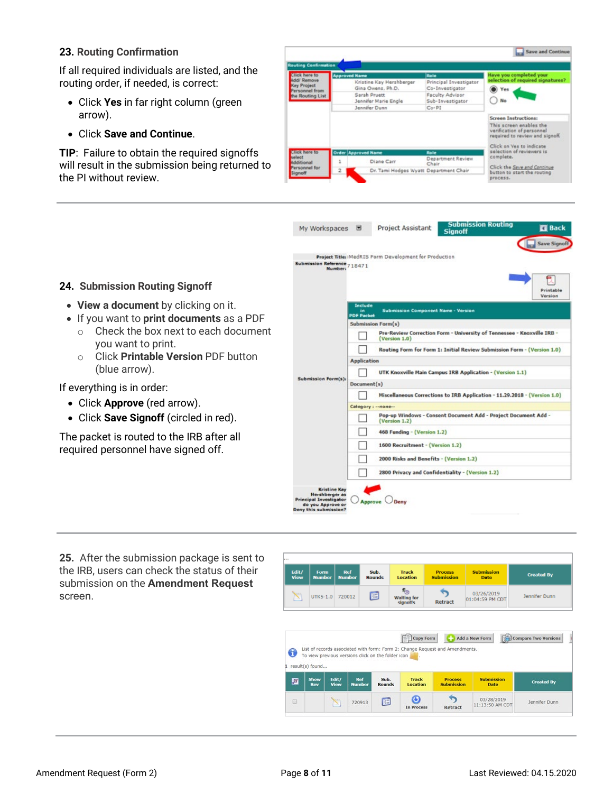#### **23. Routing Confirmation**

If all required individuals are listed, and the routing order, if needed, is correct:

- Click **Yes** in far right column (green arrow).
- Click **Save and Continue**.

**TIP**: Failure to obtain the required signoffs will result in the submission being returned to the PI without review.



|                                                                                                                                                                                                                                                                                                                                | My Workspaces                                                                                                 |                                                                                                                                                                                                                                                                                                                                                                                                                                                                                                                                                                        | <b>Project Assistant</b>                                                                                   | <b>Submission Routing</b><br><b>Signoff</b>      | <b>El Back</b>      |
|--------------------------------------------------------------------------------------------------------------------------------------------------------------------------------------------------------------------------------------------------------------------------------------------------------------------------------|---------------------------------------------------------------------------------------------------------------|------------------------------------------------------------------------------------------------------------------------------------------------------------------------------------------------------------------------------------------------------------------------------------------------------------------------------------------------------------------------------------------------------------------------------------------------------------------------------------------------------------------------------------------------------------------------|------------------------------------------------------------------------------------------------------------|--------------------------------------------------|---------------------|
|                                                                                                                                                                                                                                                                                                                                | Submission Reference 718471<br><b>Number:</b>                                                                 |                                                                                                                                                                                                                                                                                                                                                                                                                                                                                                                                                                        | Project Title: iMedRIS Form Development for Production                                                     |                                                  | <b>Save Signoff</b> |
| 24. Submission Routing Signoff                                                                                                                                                                                                                                                                                                 |                                                                                                               |                                                                                                                                                                                                                                                                                                                                                                                                                                                                                                                                                                        |                                                                                                            |                                                  | Printable           |
| • View a document by clicking on it.<br>• If you want to print documents as a PDF<br>Check the box next to each document<br>$\cap$<br>you want to print.<br>Click <b>Printable Version</b> PDF button<br>(blue arrow).<br>If everything is in order:<br>• Click Approve (red arrow).<br>• Click Save Signoff (circled in red). | <b>Submission Form(s):</b>                                                                                    | Include<br>Submission Component Name - Version<br>in.<br><b>PDF Packet</b><br><b>Submission Form(s)</b><br>Pre-Review Correction Form - University of Tennessee - Knoxville IRB -<br>(Version 1.0)<br>Routing Form for Form 1: Initial Review Submission Form - (Version 1.0)<br><b>Application</b><br>UTK Knoxville Main Campus IRB Application - (Version 1.1)<br>Document(s)<br>Miscellaneous Corrections to IRB Application - 11.29.2018 - (Version 1.0)<br>Category: -- none--<br>Pop-up Windows - Consent Document Add - Project Document Add -<br>(Version 1.2) |                                                                                                            | Version                                          |                     |
| The packet is routed to the IRB after all<br>required personnel have signed off.                                                                                                                                                                                                                                               | <b>Kristine Kay</b><br>Hershberger as<br>Principal Investigator<br>do you Approve or<br>Deny this submission? | Approve                                                                                                                                                                                                                                                                                                                                                                                                                                                                                                                                                                | 468 Funding - (Version 1.2)<br>1600 Recruitment - (Version 1.2)<br>2000 Risks and Benefits - (Version 1.2) | 2800 Privacy and Confidentiality - (Version 1.2) |                     |

**25.** After the submission package is sent to the IRB, users can check the status of their submission on the **Amendment Request** screen.



| 6 |                    |               |                                                    |                       |                          | List of records associated with form: Form 2: Change Request and Amendments. |                           |                   |
|---|--------------------|---------------|----------------------------------------------------|-----------------------|--------------------------|------------------------------------------------------------------------------|---------------------------|-------------------|
|   | result(s) found    |               | To view previous versions click on the folder icon |                       |                          |                                                                              |                           |                   |
|   |                    |               |                                                    |                       |                          |                                                                              |                           |                   |
|   |                    |               |                                                    |                       |                          |                                                                              |                           |                   |
| 圓 | Show<br><b>Rev</b> | Edit/<br>View | Ref<br><b>Number</b>                               | Sub.<br><b>Rounds</b> | <b>Track</b><br>Location | <b>Process</b><br><b>Submission</b>                                          | <b>Submission</b><br>Date | <b>Created By</b> |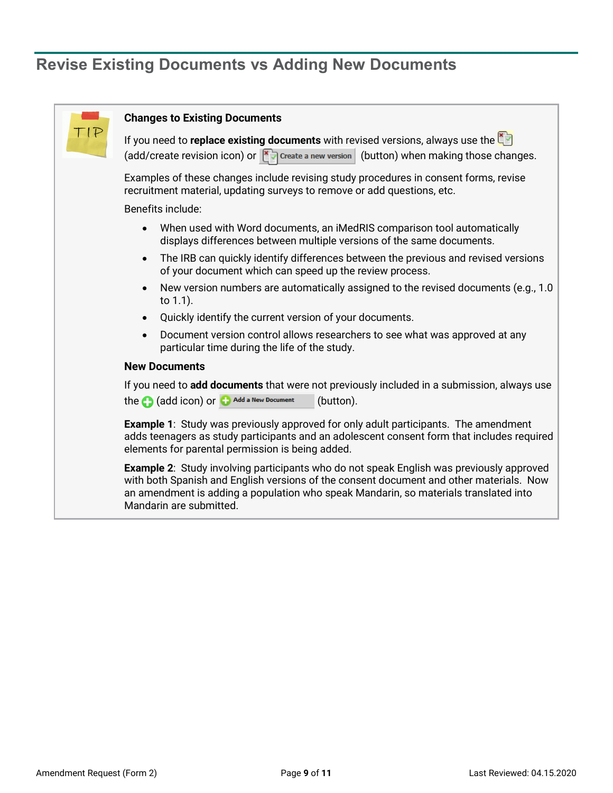# **Revise Existing Documents vs Adding New Documents**

| TIP | <b>Changes to Existing Documents</b>                                                                                                                                                                                                                                                                          |  |  |  |  |  |  |
|-----|---------------------------------------------------------------------------------------------------------------------------------------------------------------------------------------------------------------------------------------------------------------------------------------------------------------|--|--|--|--|--|--|
|     | If you need to replace existing documents with revised versions, always use the<br>(add/create revision icon) or $\left \frac{1}{2}\right $ Create a new version (button) when making those changes.                                                                                                          |  |  |  |  |  |  |
|     | Examples of these changes include revising study procedures in consent forms, revise<br>recruitment material, updating surveys to remove or add questions, etc.                                                                                                                                               |  |  |  |  |  |  |
|     | Benefits include:                                                                                                                                                                                                                                                                                             |  |  |  |  |  |  |
|     | When used with Word documents, an iMedRIS comparison tool automatically<br>$\bullet$<br>displays differences between multiple versions of the same documents.                                                                                                                                                 |  |  |  |  |  |  |
|     | The IRB can quickly identify differences between the previous and revised versions<br>$\bullet$<br>of your document which can speed up the review process.                                                                                                                                                    |  |  |  |  |  |  |
|     | New version numbers are automatically assigned to the revised documents (e.g., 1.0)<br>$\bullet$<br>to $1.1$ ).                                                                                                                                                                                               |  |  |  |  |  |  |
|     | Quickly identify the current version of your documents.<br>$\bullet$                                                                                                                                                                                                                                          |  |  |  |  |  |  |
|     | Document version control allows researchers to see what was approved at any<br>$\bullet$<br>particular time during the life of the study.                                                                                                                                                                     |  |  |  |  |  |  |
|     | <b>New Documents</b>                                                                                                                                                                                                                                                                                          |  |  |  |  |  |  |
|     | If you need to <b>add documents</b> that were not previously included in a submission, always use<br>the codd icon) or changed a New Document<br>(button).                                                                                                                                                    |  |  |  |  |  |  |
|     | <b>Example 1:</b> Study was previously approved for only adult participants. The amendment<br>adds teenagers as study participants and an adolescent consent form that includes required<br>elements for parental permission is being added.                                                                  |  |  |  |  |  |  |
|     | <b>Example 2:</b> Study involving participants who do not speak English was previously approved<br>with both Spanish and English versions of the consent document and other materials. Now<br>an amendment is adding a population who speak Mandarin, so materials translated into<br>Mandarin are submitted. |  |  |  |  |  |  |
|     |                                                                                                                                                                                                                                                                                                               |  |  |  |  |  |  |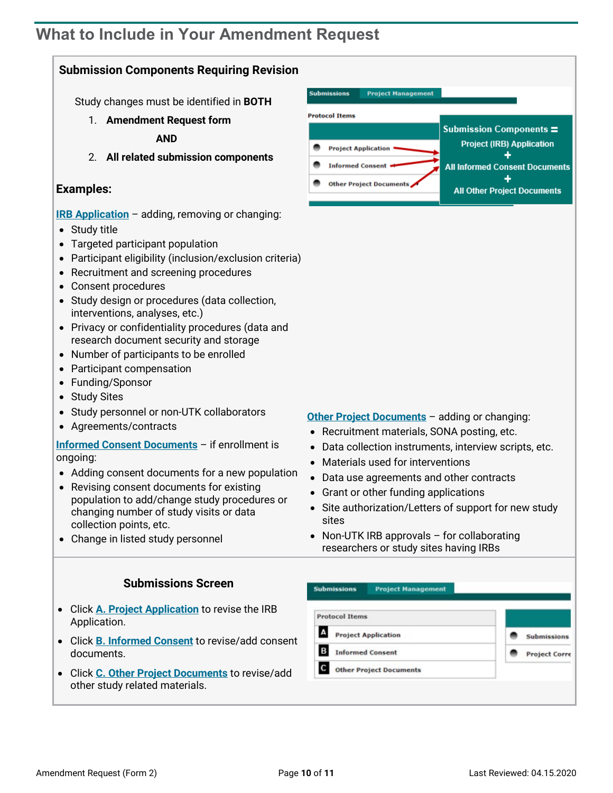### <span id="page-9-0"></span>**What to Include in Your Amendment Request**

#### **Submission Components Requiring Revision**

Study changes must be identified in **BOTH**

1. **Amendment Request form**

**AND**

2. **All related submission components**

#### **Examples:**

- **[IRB Application](#page-1-0)** adding, removing or changing:
- Study title
- Targeted participant population
- Participant eligibility (inclusion/exclusion criteria)
- Recruitment and screening procedures
- Consent procedures
- Study design or procedures (data collection, interventions, analyses, etc.)
- Privacy or confidentiality procedures (data and research document security and storage
- Number of participants to be enrolled
- Participant compensation
- Funding/Sponsor
- Study Sites
- Study personnel or non-UTK collaborators
- Agreements/contracts

**[Informed Consent Documents](https://irb.utk.edu/imedris-guides/)** – if enrollment is ongoing:

- Adding consent documents for a new population
- Revising consent documents for existing population to add/change study procedures or changing number of study visits or data collection points, etc.
- Change in listed study personnel

#### **[Other Project Documents](https://irb.utk.edu/imedris-guides/)** – adding or changing:

- Recruitment materials, SONA posting, etc.
- Data collection instruments, interview scripts, etc.
- Materials used for interventions
- Data use agreements and other contracts
- Grant or other funding applications
- Site authorization/Letters of support for new study sites
- Non-UTK IRB approvals for collaborating researchers or study sites having IRBs

#### **Submissions Screen**

- Click **[A. Project Application](#page-1-0)** to revise the IRB Application.
- Click **[B. Informed Consent](https://irb.utk.edu/imedris-guides/)** to revise/add consent documents.
- Click **[C. Other Project Documents](https://irb.utk.edu/imedris-guides/)** to revise/add other study related materials.

| <b>Protocol Items</b>           |                      |
|---------------------------------|----------------------|
| A<br><b>Project Application</b> | <b>Submissions</b>   |
| B<br><b>Informed Consent</b>    | <b>Project Corre</b> |
| <b>Other Project Documents</b>  |                      |